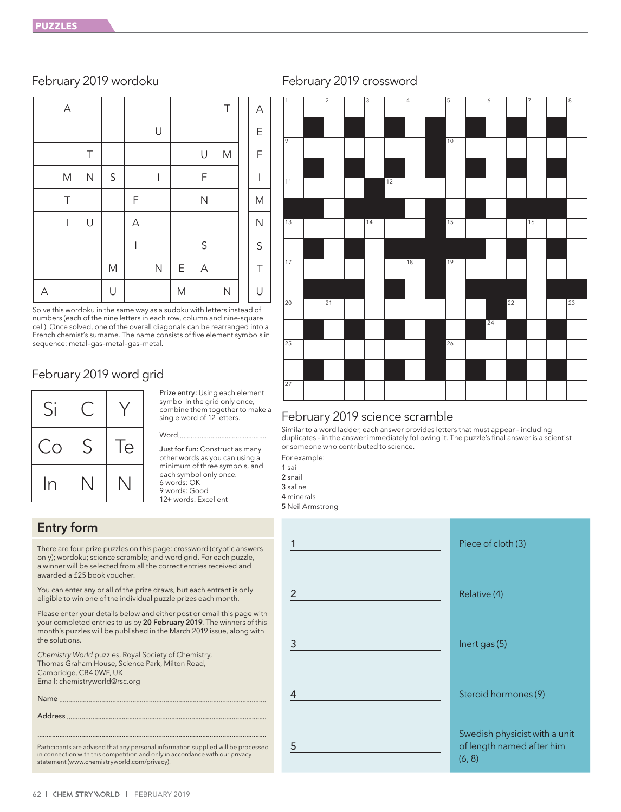|   | $\mathsf A$ |                         |              |                |              |   |                           | $\top$       | A            |
|---|-------------|-------------------------|--------------|----------------|--------------|---|---------------------------|--------------|--------------|
|   |             |                         |              |                | $\cup$       |   |                           |              | $\mathsf E$  |
|   |             | Τ                       |              |                |              |   | U                         | M            | $\mathsf F$  |
|   | M           | $\overline{\mathsf{N}}$ | $\mathsf S$  |                | I            |   | $\mathsf F$               |              | I            |
|   | $\top$      |                         |              | F              |              |   | $\mathsf{N}$              |              | ${\sf M}$    |
|   | I           | $\cup$                  |              | $\overline{A}$ |              |   |                           |              | $\mathsf{N}$ |
|   |             |                         |              | I              |              |   | $\mathsf S$               |              | $\mathsf S$  |
|   |             |                         | $\mathsf{M}$ |                | $\mathsf{N}$ | E | $\boldsymbol{\mathsf{A}}$ |              | $\top$       |
| A |             |                         | $\cup$       |                |              | M |                           | $\mathsf{N}$ | U            |

Solve this wordoku in the same way as a sudoku with letters instead of numbers (each of the nine letters in each row, column and nine-square cell). Once solved, one of the overall diagonals can be rearranged into a French chemist's surname. The name consists of five element symbols in sequence: metal–gas–metal–gas–metal.

### February 2019 word grid



Prize entry: Using each element symbol in the grid only once, combine them together to make a single word of 12 letters.

### Word<sub>.</sub>

Just for fun: Construct as many other words as you can using a minimum of three symbols, and each symbol only once. 6 words: OK 9 words: Good 12+ words: Excellent

### Entry form

There are four prize puzzles on this page: crossword (cryptic answers only); wordoku; science scramble; and word grid. For each puzzle, a winner will be selected from all the correct entries received and awarded a £25 book voucher.

You can enter any or all of the prize draws, but each entrant is only eligible to win one of the individual puzzle prizes each month.

Please enter your details below and either post or email this page with your completed entries to us by 20 February 2019. The winners of this month's puzzles will be published in the March 2019 issue, along with the solutions.

*Chemistry World* puzzles, Royal Society of Chemistry, Thomas Graham House, Science Park, Milton Road, Cambridge, CB4 0WF, UK Email: chemistryworld@rsc.org

Name .................................................................................................................

Address .............................................................................................................

............................................................................................................................. Participants are advised that any personal information supplied will be processed in connection with this competition and only in accordance with our privacy statement (www.chemistryworld.com/privacy).





### February 2019 science scramble

Similar to a word ladder, each answer provides letters that must appear – including duplicates – in the answer immediately following it. The puzzle's final answer is a scientist or someone who contributed to science.

For example:

1 sail 2 snail

3 saline

4 minerals

5 Neil Armstrong